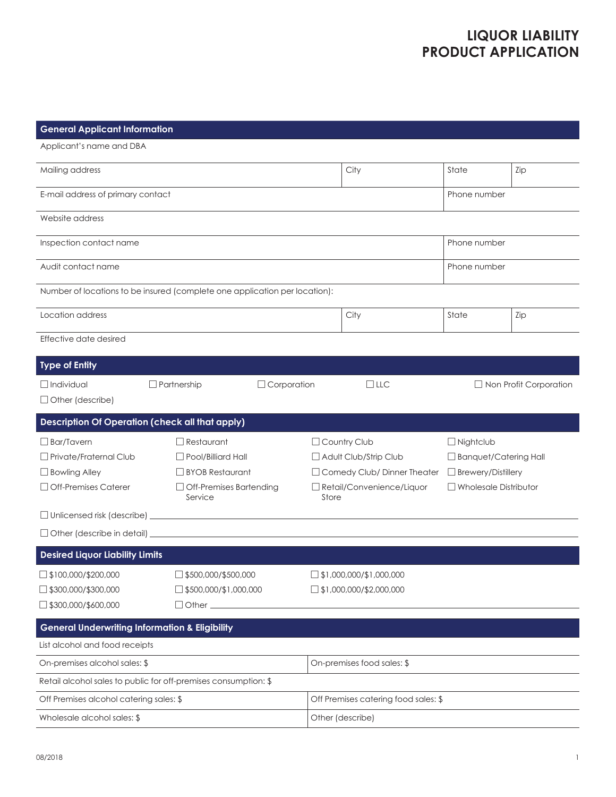## **LIQUOR LIABILITY PRODUCT APPLICATION**

| <b>General Applicant Information</b>                                                            |                                                                                                                  |             |                                                                                                                  |                                                                  |                                                                                                               |                               |
|-------------------------------------------------------------------------------------------------|------------------------------------------------------------------------------------------------------------------|-------------|------------------------------------------------------------------------------------------------------------------|------------------------------------------------------------------|---------------------------------------------------------------------------------------------------------------|-------------------------------|
| Applicant's name and DBA                                                                        |                                                                                                                  |             |                                                                                                                  |                                                                  |                                                                                                               |                               |
| Mailing address                                                                                 |                                                                                                                  |             |                                                                                                                  | City                                                             | State                                                                                                         | Zip                           |
| E-mail address of primary contact                                                               |                                                                                                                  |             |                                                                                                                  |                                                                  | Phone number                                                                                                  |                               |
| Website address                                                                                 |                                                                                                                  |             |                                                                                                                  |                                                                  |                                                                                                               |                               |
| Inspection contact name                                                                         | Phone number                                                                                                     |             |                                                                                                                  |                                                                  |                                                                                                               |                               |
| Audit contact name                                                                              |                                                                                                                  |             |                                                                                                                  | Phone number                                                     |                                                                                                               |                               |
| Number of locations to be insured (complete one application per location):                      |                                                                                                                  |             |                                                                                                                  |                                                                  |                                                                                                               |                               |
| Location address                                                                                |                                                                                                                  |             |                                                                                                                  | City                                                             | State                                                                                                         | Zip                           |
| Effective date desired                                                                          |                                                                                                                  |             |                                                                                                                  |                                                                  |                                                                                                               |                               |
| <b>Type of Entity</b>                                                                           |                                                                                                                  |             |                                                                                                                  |                                                                  |                                                                                                               |                               |
| $\Box$ Individual<br>$\Box$ Other (describe)                                                    | $\Box$ Partnership                                                                                               | Corporation |                                                                                                                  | $\Box$ LLC                                                       |                                                                                                               | $\Box$ Non Profit Corporation |
| <b>Description Of Operation (check all that apply)</b>                                          |                                                                                                                  |             |                                                                                                                  |                                                                  |                                                                                                               |                               |
| $\Box$ Bar/Tavern<br>$\Box$ Private/Fraternal Club<br>□ Bowling Alley<br>□ Off-Premises Caterer | $\Box$ Restaurant<br>$\Box$ Pool/Billiard Hall<br>□ BYOB Restaurant<br>$\Box$ Off-Premises Bartending<br>Service |             | Country Club<br>Adult Club/Strip Club<br>Comedy Club/Dinner Theater<br>$\Box$ Retail/Convenience/Liquor<br>Store |                                                                  | $\Box$ Nightclub<br>$\Box$ Banquet/Catering Hall<br>$\Box$ Brewery/Distillery<br>$\Box$ Wholesale Distributor |                               |
|                                                                                                 |                                                                                                                  |             |                                                                                                                  |                                                                  |                                                                                                               |                               |
|                                                                                                 |                                                                                                                  |             |                                                                                                                  |                                                                  |                                                                                                               |                               |
| <b>Desired Liquor Liability Limits</b>                                                          |                                                                                                                  |             |                                                                                                                  |                                                                  |                                                                                                               |                               |
| $\Box$ \$100,000/\$200,000<br>$\Box$ \$300,000/\$300,000<br>$\Box$ \$300,000/\$600,000          | $\Box$ \$500,000/\$500,000<br>$\Box$ \$500,000/\$1,000,000<br>$\Box$ Other $\_\_\_\_\_\_\_\_\$                   |             |                                                                                                                  | $\Box$ \$1,000,000/\$1,000,000<br>$\Box$ \$1,000,000/\$2,000,000 |                                                                                                               |                               |
| <b>General Underwriting Information &amp; Eligibility</b>                                       |                                                                                                                  |             |                                                                                                                  |                                                                  |                                                                                                               |                               |
| List alcohol and food receipts                                                                  |                                                                                                                  |             |                                                                                                                  |                                                                  |                                                                                                               |                               |
| On-premises alcohol sales: \$                                                                   |                                                                                                                  |             | On-premises food sales: \$                                                                                       |                                                                  |                                                                                                               |                               |
| Retail alcohol sales to public for off-premises consumption: \$                                 |                                                                                                                  |             |                                                                                                                  |                                                                  |                                                                                                               |                               |
| Off Premises alcohol catering sales: \$                                                         |                                                                                                                  |             | Off Premises catering food sales: \$                                                                             |                                                                  |                                                                                                               |                               |
| Wholesale alcohol sales: \$                                                                     |                                                                                                                  |             | Other (describe)                                                                                                 |                                                                  |                                                                                                               |                               |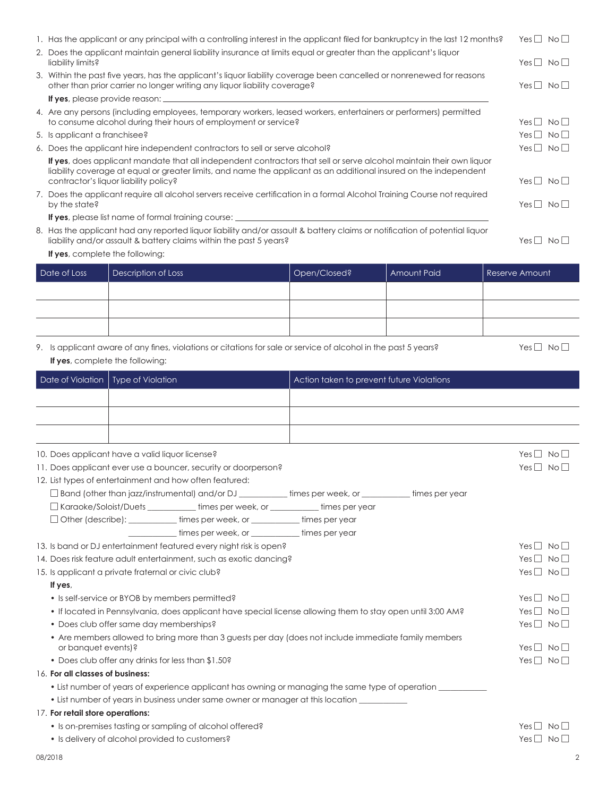| 2. Does the applicant maintain general liability insurance at limits equal or greater than the applicant's liquor                                                                                | Yes $\Box$ No $\Box$                                                                                                                                                                                                                                                               |                                           |                      |                      |  |  |  |
|--------------------------------------------------------------------------------------------------------------------------------------------------------------------------------------------------|------------------------------------------------------------------------------------------------------------------------------------------------------------------------------------------------------------------------------------------------------------------------------------|-------------------------------------------|----------------------|----------------------|--|--|--|
|                                                                                                                                                                                                  | 3. Within the past five years, has the applicant's liquor liability coverage been cancelled or nonrenewed for reasons<br>other than prior carrier no longer writing any liquor liability coverage?                                                                                 |                                           |                      |                      |  |  |  |
|                                                                                                                                                                                                  |                                                                                                                                                                                                                                                                                    |                                           |                      |                      |  |  |  |
|                                                                                                                                                                                                  | 4. Are any persons (including employees, temporary workers, leased workers, entertainers or performers) permitted<br>to consume alcohol during their hours of employment or service?                                                                                               |                                           |                      |                      |  |  |  |
|                                                                                                                                                                                                  | 5. Is applicant a franchisee?                                                                                                                                                                                                                                                      |                                           |                      | Yes $\Box$ No $\Box$ |  |  |  |
|                                                                                                                                                                                                  | 6. Does the applicant hire independent contractors to sell or serve alcohol?                                                                                                                                                                                                       |                                           | Yes $\Box$ No $\Box$ |                      |  |  |  |
|                                                                                                                                                                                                  | If yes, does applicant mandate that all independent contractors that sell or serve alcohol maintain their own liquor<br>liability coverage at equal or greater limits, and name the applicant as an additional insured on the independent<br>contractor's liquor liability policy? | Yes $\Box$ No $\Box$                      |                      |                      |  |  |  |
|                                                                                                                                                                                                  | 7. Does the applicant require all alcohol servers receive certification in a formal Alcohol Training Course not required<br>by the state?                                                                                                                                          |                                           |                      | Yes $\Box$ No $\Box$ |  |  |  |
|                                                                                                                                                                                                  |                                                                                                                                                                                                                                                                                    |                                           |                      |                      |  |  |  |
| 8. Has the applicant had any reported liquor liability and/or assault & battery claims or notification of potential liquor<br>liability and/or assault & battery claims within the past 5 years? |                                                                                                                                                                                                                                                                                    |                                           |                      |                      |  |  |  |
|                                                                                                                                                                                                  | If yes, complete the following:                                                                                                                                                                                                                                                    |                                           |                      |                      |  |  |  |
|                                                                                                                                                                                                  | Date of Loss<br>Description of Loss                                                                                                                                                                                                                                                | Open/Closed?                              | <b>Amount Paid</b>   | Reserve Amount       |  |  |  |
|                                                                                                                                                                                                  |                                                                                                                                                                                                                                                                                    |                                           |                      |                      |  |  |  |
|                                                                                                                                                                                                  |                                                                                                                                                                                                                                                                                    |                                           |                      |                      |  |  |  |
|                                                                                                                                                                                                  |                                                                                                                                                                                                                                                                                    |                                           |                      |                      |  |  |  |
|                                                                                                                                                                                                  |                                                                                                                                                                                                                                                                                    |                                           |                      |                      |  |  |  |
|                                                                                                                                                                                                  |                                                                                                                                                                                                                                                                                    |                                           |                      |                      |  |  |  |
|                                                                                                                                                                                                  | 9. Is applicant aware of any fines, violations or citations for sale or service of alcohol in the past 5 years?<br>If yes, complete the following:                                                                                                                                 |                                           |                      | Yes $\Box$ No $\Box$ |  |  |  |
|                                                                                                                                                                                                  | Date of Violation<br><b>Type of Violation</b>                                                                                                                                                                                                                                      | Action taken to prevent future Violations |                      |                      |  |  |  |
|                                                                                                                                                                                                  |                                                                                                                                                                                                                                                                                    |                                           |                      |                      |  |  |  |
|                                                                                                                                                                                                  |                                                                                                                                                                                                                                                                                    |                                           |                      |                      |  |  |  |
|                                                                                                                                                                                                  |                                                                                                                                                                                                                                                                                    |                                           |                      |                      |  |  |  |
|                                                                                                                                                                                                  |                                                                                                                                                                                                                                                                                    |                                           |                      |                      |  |  |  |
|                                                                                                                                                                                                  |                                                                                                                                                                                                                                                                                    |                                           |                      | Yes $\Box$ No $\Box$ |  |  |  |
|                                                                                                                                                                                                  | 10. Does applicant have a valid liquor license?<br>11. Does applicant ever use a bouncer, security or doorperson?                                                                                                                                                                  |                                           |                      | Yes $\Box$ No $\Box$ |  |  |  |
|                                                                                                                                                                                                  | 12. List types of entertainment and how often featured:                                                                                                                                                                                                                            |                                           |                      |                      |  |  |  |
|                                                                                                                                                                                                  | $\Box$ Band (other than jazz/instrumental) and/or DJ                                                                                                                                                                                                                               | times per week, or                        | times per year       |                      |  |  |  |
|                                                                                                                                                                                                  | □ Karaoke/Soloist/Duets _____ times per week, or _____ times per year                                                                                                                                                                                                              |                                           |                      |                      |  |  |  |
|                                                                                                                                                                                                  | □ Other (describe): ___________times per week, or _________times per year                                                                                                                                                                                                          |                                           |                      |                      |  |  |  |
|                                                                                                                                                                                                  | times per week, or sales are times per year                                                                                                                                                                                                                                        |                                           |                      |                      |  |  |  |
|                                                                                                                                                                                                  | 13. Is band or DJ entertainment featured every night risk is open?                                                                                                                                                                                                                 |                                           |                      | Yes $\Box$ No $\Box$ |  |  |  |
| 14. Does risk feature adult entertainment, such as exotic dancing?                                                                                                                               | Yes $\Box$ No $\Box$                                                                                                                                                                                                                                                               |                                           |                      |                      |  |  |  |
| 15. Is applicant a private fraternal or civic club?                                                                                                                                              | Yes $\Box$ No $\Box$                                                                                                                                                                                                                                                               |                                           |                      |                      |  |  |  |
|                                                                                                                                                                                                  | If yes,                                                                                                                                                                                                                                                                            |                                           |                      |                      |  |  |  |
|                                                                                                                                                                                                  | • Is self-service or BYOB by members permitted?                                                                                                                                                                                                                                    |                                           |                      | Yes $\Box$ No $\Box$ |  |  |  |
| • If located in Pennsylvania, does applicant have special license allowing them to stay open until 3:00 AM?                                                                                      |                                                                                                                                                                                                                                                                                    |                                           |                      | Yes $\Box$ No $\Box$ |  |  |  |
|                                                                                                                                                                                                  | • Does club offer same day memberships?                                                                                                                                                                                                                                            |                                           |                      | Yes $\Box$ No $\Box$ |  |  |  |
| • Are members allowed to bring more than 3 guests per day (does not include immediate family members<br>or banquet events)?                                                                      |                                                                                                                                                                                                                                                                                    |                                           |                      | Yes $\Box$ No $\Box$ |  |  |  |
|                                                                                                                                                                                                  | Yes $\Box$ No $\Box$                                                                                                                                                                                                                                                               |                                           |                      |                      |  |  |  |
|                                                                                                                                                                                                  | 16. For all classes of business:                                                                                                                                                                                                                                                   |                                           |                      |                      |  |  |  |
|                                                                                                                                                                                                  | • List number of years of experience applicant has owning or managing the same type of operation ____________                                                                                                                                                                      |                                           |                      |                      |  |  |  |
|                                                                                                                                                                                                  | • List number of years in business under same owner or manager at this location ______________________________                                                                                                                                                                     |                                           |                      |                      |  |  |  |
|                                                                                                                                                                                                  | 17. For retail store operations:                                                                                                                                                                                                                                                   |                                           |                      |                      |  |  |  |
|                                                                                                                                                                                                  | • Is on-premises tasting or sampling of alcohol offered?                                                                                                                                                                                                                           |                                           |                      | $Yes \perp No \perp$ |  |  |  |
|                                                                                                                                                                                                  | • Is delivery of alcohol provided to customers?                                                                                                                                                                                                                                    |                                           |                      | Yes $\Box$ No $\Box$ |  |  |  |
|                                                                                                                                                                                                  | 08/2018                                                                                                                                                                                                                                                                            |                                           |                      | $\overline{2}$       |  |  |  |

1. Has the applicant or any principal with a controlling interest in the applicant filed for bankruptcy in the last 12 months? Yes  $\Box$  No  $\Box$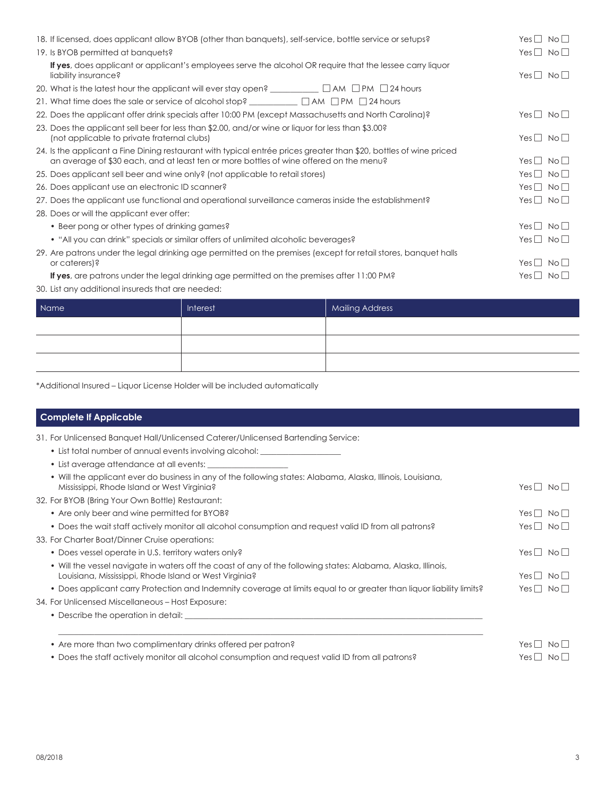| 18. If licensed, does applicant allow BYOB (other than banguets), self-service, bottle service or setups?                                                                                                    | $Yes \perp No \perp$         |
|--------------------------------------------------------------------------------------------------------------------------------------------------------------------------------------------------------------|------------------------------|
| 19. Is BYOB permitted at banquets?                                                                                                                                                                           | Yes $\Box$ No $\Box$         |
| <b>If yes</b> , does applicant or applicant's employees serve the alcohol OR require that the lessee carry liquor<br>liability insurance?                                                                    | Yes     No                   |
|                                                                                                                                                                                                              |                              |
|                                                                                                                                                                                                              |                              |
| 22. Does the applicant offer drink specials after 10:00 PM (except Massachusetts and North Carolina)?                                                                                                        | $Yes \perp No \perp$         |
| 23. Does the applicant sell beer for less than \$2.00, and/or wine or liquor for less than \$3.00?<br>(not applicable to private fraternal clubs)                                                            | $Yes \mid \mid No \mid \mid$ |
| 24. Is the applicant a Fine Dining restaurant with typical entrée prices greater than \$20, bottles of wine priced<br>an average of \$30 each, and at least ten or more bottles of wine offered on the menu? | $Yes \Box$<br>$N$ o $\Box$   |
| 25. Does applicant sell beer and wine only? (not applicable to retail stores)                                                                                                                                | Yes $\Box$ No $\Box$         |
| 26. Does applicant use an electronic ID scanner?                                                                                                                                                             | Yes $\Box$ No $\Box$         |
| 27. Does the applicant use functional and operational surveillance cameras inside the establishment?                                                                                                         | Yes $\Box$ No $\Box$         |
| 28. Does or will the applicant ever offer:                                                                                                                                                                   |                              |
| • Beer pong or other types of drinking games?                                                                                                                                                                | Yes $\Box$ No $\Box$         |
| • "All you can drink" specials or similar offers of unlimited alcoholic beverages?                                                                                                                           | Yes $\Box$ No $\Box$         |
| 29. Are patrons under the legal drinking age permitted on the premises (except for retail stores, banquet halls<br>or caterers)?                                                                             | Yes     No                   |
| <b>If yes</b> , are patrons under the legal drinking age permitted on the premises after 11:00 PM?                                                                                                           | $Yes \perp No \perp$         |
| 30. List any additional insureds that are needed:                                                                                                                                                            |                              |

| Name | Interest | <b>Mailing Address</b> |
|------|----------|------------------------|
|      |          |                        |
|      |          |                        |
|      |          |                        |

\*Additional Insured – Liquor License Holder will be included automatically

## **Complete If Applicable**

31. For Unlicensed Banquet Hall/Unlicensed Caterer/Unlicensed Bartending Service:

- List total number of annual events involving alcohol: \_\_\_\_\_\_\_\_\_\_\_\_\_\_\_\_\_\_\_\_\_\_\_\_
- List average attendance at all events:

| • Will the applicant ever do business in any of the following states: Alabama, Alaska, Illinois, Louisiana,<br>Mississippi, Rhode Island or West Virginia?              | Yes $\Box$ No $\Box$ |
|-------------------------------------------------------------------------------------------------------------------------------------------------------------------------|----------------------|
| 32. For BYOB (Bring Your Own Bottle) Restaurant:                                                                                                                        |                      |
| • Are only beer and wine permitted for BYOB?                                                                                                                            | Yes $\Box$ No $\Box$ |
| • Does the wait staff actively monitor all alcohol consumption and request valid ID from all patrons?                                                                   | $Yes \perp No \perp$ |
| 33. For Charter Boat/Dinner Cruise operations:                                                                                                                          |                      |
| • Does vessel operate in U.S. territory waters only?                                                                                                                    | Yes     No           |
| . Will the vessel navigate in waters off the coast of any of the following states: Alabama, Alaska, Illinois,<br>Louisiana, Mississippi, Rhode Island or West Virginia? | Yes     No           |
| • Does applicant carry Protection and Indemnity coverage at limits equal to or greater than liquor liability limits?                                                    | $Yes \Box No \Box$   |
| 34. For Unlicensed Miscellaneous – Host Exposure:                                                                                                                       |                      |
| • Describe the operation in detail:                                                                                                                                     |                      |
| • Are more than two complimentary drinks offered per patron?                                                                                                            | $Yes \perp No \perp$ |
| • Does the staff actively monitor all alcohol consumption and request valid ID from all patrons?                                                                        | $Yes \perp No \perp$ |